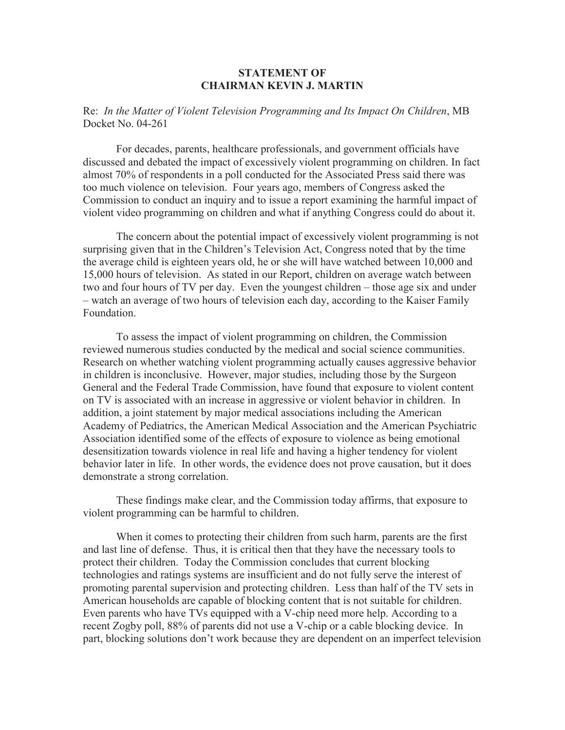## **STATEMENT OF CHAIRMAN KEVIN J. MARTIN**

Re: *In the Matter of Violent Television Programming and Its Impact On Children*, MB Docket No. 04-261

For decades, parents, healthcare professionals, and government officials have discussed and debated the impact of excessively violent programming on children. In fact almost 70% of respondents in a poll conducted for the Associated Press said there was too much violence on television. Four years ago, members of Congress asked the Commission to conduct an inquiry and to issue a report examining the harmful impact of violent video programming on children and what if anything Congress could do about it.

The concern about the potential impact of excessively violent programming is not surprising given that in the Children's Television Act, Congress noted that by the time the average child is eighteen years old, he or she will have watched between 10,000 and 15,000 hours of television. As stated in our Report, children on average watch between two and four hours of TV per day. Even the youngest children – those age six and under – watch an average of two hours of television each day, according to the Kaiser Family Foundation.

To assess the impact of violent programming on children, the Commission reviewed numerous studies conducted by the medical and social science communities. Research on whether watching violent programming actually causes aggressive behavior in children is inconclusive. However, major studies, including those by the Surgeon General and the Federal Trade Commission, have found that exposure to violent content on TV is associated with an increase in aggressive or violent behavior in children. In addition, a joint statement by major medical associations including the American Academy of Pediatrics, the American Medical Association and the American Psychiatric Association identified some of the effects of exposure to violence as being emotional desensitization towards violence in real life and having a higher tendency for violent behavior later in life. In other words, the evidence does not prove causation, but it does demonstrate a strong correlation.

These findings make clear, and the Commission today affirms, that exposure to violent programming can be harmful to children.

When it comes to protecting their children from such harm, parents are the first and last line of defense. Thus, it is critical then that they have the necessary tools to protect their children. Today the Commission concludes that current blocking technologies and ratings systems are insufficient and do not fully serve the interest of promoting parental supervision and protecting children. Less than half of the TV sets in American households are capable of blocking content that is not suitable for children. Even parents who have TVs equipped with a V-chip need more help. According to a recent Zogby poll, 88% of parents did not use a V-chip or a cable blocking device. In part, blocking solutions don't work because they are dependent on an imperfect television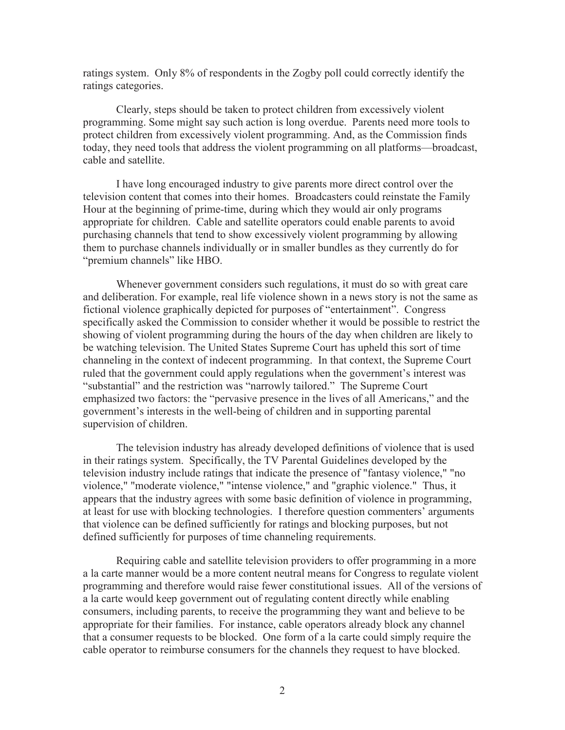ratings system. Only 8% of respondents in the Zogby poll could correctly identify the ratings categories.

Clearly, steps should be taken to protect children from excessively violent programming. Some might say such action is long overdue. Parents need more tools to protect children from excessively violent programming. And, as the Commission finds today, they need tools that address the violent programming on all platforms—broadcast, cable and satellite.

I have long encouraged industry to give parents more direct control over the television content that comes into their homes. Broadcasters could reinstate the Family Hour at the beginning of prime-time, during which they would air only programs appropriate for children. Cable and satellite operators could enable parents to avoid purchasing channels that tend to show excessively violent programming by allowing them to purchase channels individually or in smaller bundles as they currently do for "premium channels" like HBO.

Whenever government considers such regulations, it must do so with great care and deliberation. For example, real life violence shown in a news story is not the same as fictional violence graphically depicted for purposes of "entertainment". Congress specifically asked the Commission to consider whether it would be possible to restrict the showing of violent programming during the hours of the day when children are likely to be watching television. The United States Supreme Court has upheld this sort of time channeling in the context of indecent programming. In that context, the Supreme Court ruled that the government could apply regulations when the government's interest was "substantial" and the restriction was "narrowly tailored." The Supreme Court emphasized two factors: the "pervasive presence in the lives of all Americans," and the government's interests in the well-being of children and in supporting parental supervision of children.

The television industry has already developed definitions of violence that is used in their ratings system. Specifically, the TV Parental Guidelines developed by the television industry include ratings that indicate the presence of "fantasy violence," "no violence," "moderate violence," "intense violence," and "graphic violence." Thus, it appears that the industry agrees with some basic definition of violence in programming, at least for use with blocking technologies. I therefore question commenters' arguments that violence can be defined sufficiently for ratings and blocking purposes, but not defined sufficiently for purposes of time channeling requirements.

Requiring cable and satellite television providers to offer programming in a more a la carte manner would be a more content neutral means for Congress to regulate violent programming and therefore would raise fewer constitutional issues. All of the versions of a la carte would keep government out of regulating content directly while enabling consumers, including parents, to receive the programming they want and believe to be appropriate for their families. For instance, cable operators already block any channel that a consumer requests to be blocked. One form of a la carte could simply require the cable operator to reimburse consumers for the channels they request to have blocked.